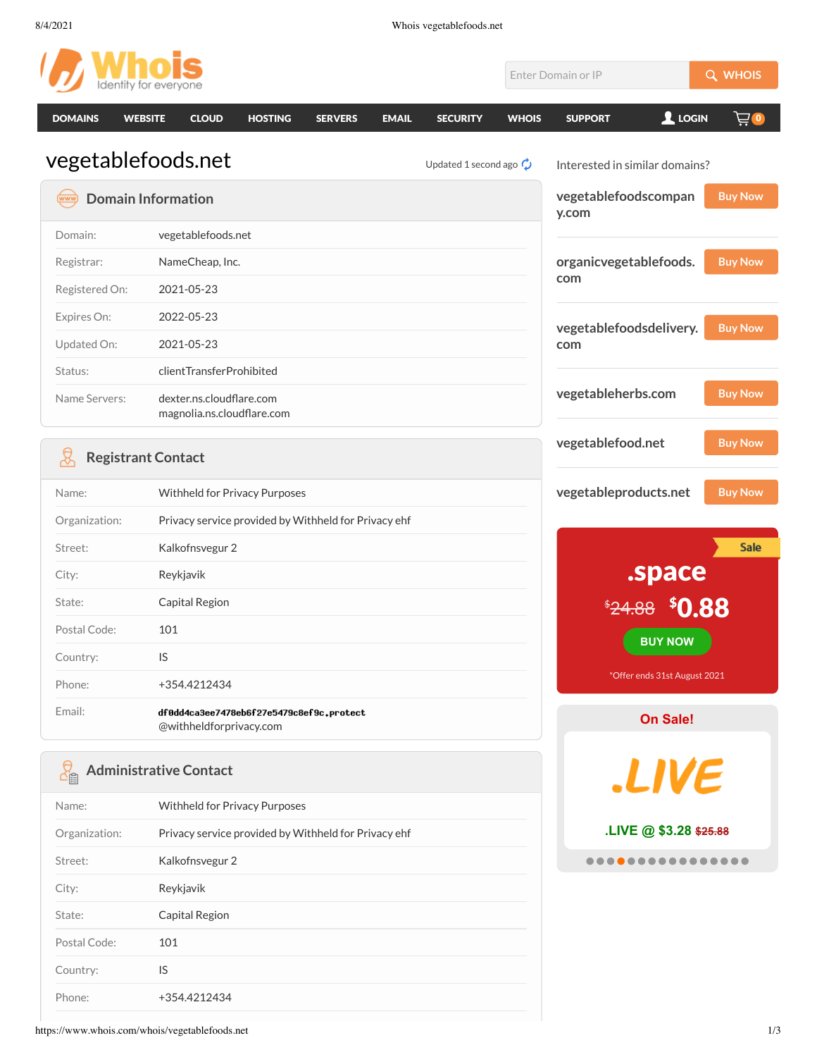| Identity for everyone             |                                                                     |                                    |              | Enter Domain or IP             | Q WHOIS        |  |
|-----------------------------------|---------------------------------------------------------------------|------------------------------------|--------------|--------------------------------|----------------|--|
| <b>DOMAINS</b><br><b>WEBSITE</b>  | <b>CLOUD</b><br><b>HOSTING</b><br><b>SERVERS</b><br><b>EMAIL</b>    | <b>SECURITY</b>                    | <b>WHOIS</b> | $2$ LOGIN<br><b>SUPPORT</b>    | 芦の             |  |
| vegetablefoods.net                |                                                                     | Updated 1 second ago $\mathcal{O}$ |              | Interested in similar domains? |                |  |
| <b>Domain Information</b><br>(www |                                                                     |                                    |              | vegetablefoodscompan<br>y.com  | <b>Buy Now</b> |  |
| Domain:                           | vegetablefoods.net                                                  |                                    |              |                                |                |  |
| Registrar:                        | NameCheap, Inc.                                                     |                                    |              | organicvegetablefoods.         | <b>Buy Now</b> |  |
| Registered On:                    | 2021-05-23                                                          |                                    |              | com                            |                |  |
| Expires On:                       | 2022-05-23                                                          |                                    |              |                                | <b>Buy Now</b> |  |
| Updated On:                       | 2021-05-23                                                          |                                    |              | vegetablefoodsdelivery.<br>com |                |  |
| Status:                           | clientTransferProhibited                                            |                                    |              |                                |                |  |
| Name Servers:                     | dexter.ns.cloudflare.com<br>magnolia.ns.cloudflare.com              |                                    |              | vegetableherbs.com             | <b>Buy Now</b> |  |
| ₽<br><b>Registrant Contact</b>    |                                                                     |                                    |              | vegetablefood.net              | <b>Buy Now</b> |  |
| Name:                             | Withheld for Privacy Purposes                                       |                                    |              | vegetableproducts.net          | <b>Buy Now</b> |  |
| Organization:                     | Privacy service provided by Withheld for Privacy ehf                |                                    |              |                                |                |  |
| Street:                           | Kalkofnsvegur 2                                                     |                                    |              |                                | <b>Sale</b>    |  |
| City:                             | Reykjavik                                                           |                                    |              | space.                         |                |  |
| State:                            | Capital Region                                                      |                                    |              | <del>\$24.88</del>             | <b>\$0.88</b>  |  |
| Postal Code:                      | 101                                                                 |                                    |              | <b>BUY NOW</b>                 |                |  |
| Country:                          | IS                                                                  |                                    |              |                                |                |  |
| Phone:                            | +354.4212434                                                        |                                    |              | *Offer ends 31st August 2021   |                |  |
| Email:                            | df0dd4ca3ee7478eb6f27e5479c8ef9c.protect<br>@withheldforprivacy.com |                                    |              | On Sale!                       |                |  |
| 업                                 | <b>Administrative Contact</b>                                       |                                    |              | <b>LIVE</b>                    |                |  |
| Name:                             | Withheld for Privacy Purposes                                       |                                    |              |                                |                |  |
| Organization:                     | Privacy service provided by Withheld for Privacy ehf                |                                    |              | LIVE @ \$3.28 \$25.88          |                |  |
| Street:                           | Kalkofnsvegur 2                                                     |                                    |              |                                |                |  |
| City:                             | Reykjavik                                                           |                                    |              |                                |                |  |
| State:                            | Capital Region                                                      |                                    |              |                                |                |  |
| Postal Code:                      | 101                                                                 |                                    |              |                                |                |  |

Phone: +354.4212434

Country: IS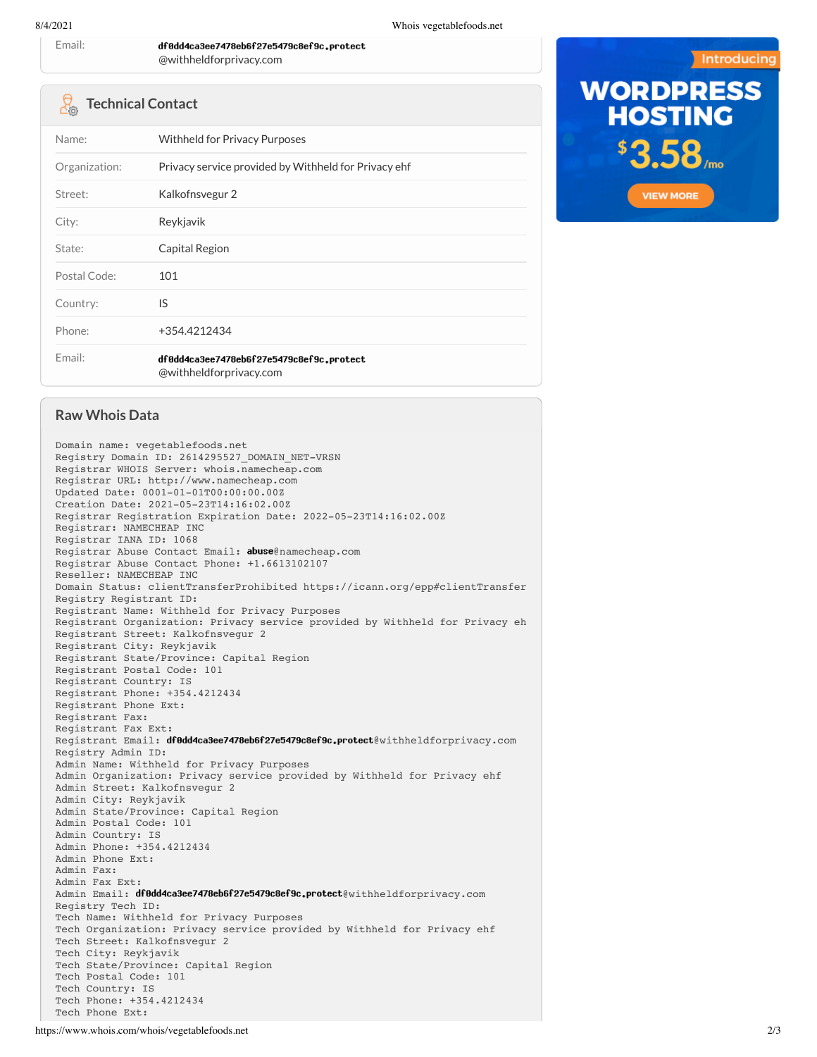Email:

## @withheldforprivacy.com

df0dd4ca3ee7478eb6f27e5479c8ef9c.protect

## **Technical Contact**

| Name:         | <b>Withheld for Privacy Purposes</b>                                |  |  |
|---------------|---------------------------------------------------------------------|--|--|
| Organization: | Privacy service provided by Withheld for Privacy ehf                |  |  |
| Street:       | Kalkofnsvegur 2                                                     |  |  |
| City:         | Reykjavik                                                           |  |  |
| State:        | Capital Region                                                      |  |  |
| Postal Code:  | 101                                                                 |  |  |
| Country:      | IS                                                                  |  |  |
| Phone:        | +354.4212434                                                        |  |  |
| Email:        | df0dd4ca3ee7478eb6f27e5479c8ef9c.protect<br>@withheldforprivacy.com |  |  |



## **Raw Whois Data**

Domain name: vegetablefoods.net Registry Domain ID: 2614295527\_DOMAIN\_NET-VRSN Registrar WHOIS Server: whois.namecheap.com Registrar URL: http://www.namecheap.com Updated Date: 0001-01-01T00:00:00.00Z Creation Date: 2021-05-23T14:16:02.00Z Registrar Registration Expiration Date: 2022-05-23T14:16:02.00Z Registrar: NAMECHEAP INC Registrar IANA ID: 1068 Registrar Abuse Contact Email: abuse@namecheap.com Registrar Abuse Contact Phone: +1.6613102107 Reseller: NAMECHEAP INC Domain Status: clientTransferProhibited https://icann.org/epp#clientTransfer Registry Registrant ID: Registrant Name: Withheld for Privacy Purposes Registrant Organization: Privacy service provided by Withheld for Privacy eh Registrant Street: Kalkofnsvegur 2 Registrant City: Reykjavik Registrant State/Province: Capital Region Registrant Postal Code: 101 Registrant Country: IS Registrant Phone: +354.4212434 Registrant Phone Ext: Registrant Fax: Registrant Fax Ext: Registrant Email: df0dd4ca3ee7478eb6f27e5479c8ef9c.protect@withheldforprivacy.com Registry Admin ID: Admin Name: Withheld for Privacy Purposes Admin Organization: Privacy service provided by Withheld for Privacy ehf Admin Street: Kalkofnsvegur 2 Admin City: Reykjavik Admin State/Province: Capital Region Admin Postal Code: 101 Admin Country: IS Admin Phone: +354.4212434 Admin Phone Ext: Admin Fax: Admin Fax Ext: Admin Email: df0dd4ca3ee7478eb6f27e5479c8ef9c.protect@withheldforprivacy.com Registry Tech ID: Tech Name: Withheld for Privacy Purposes Tech Organization: Privacy service provided by Withheld for Privacy ehf Tech Street: Kalkofnsvegur 2 Tech City: Reykjavik Tech State/Province: Capital Region Tech Postal Code: 101 Tech Country: IS Tech Phone: +354.4212434 Tech Phone Ext: